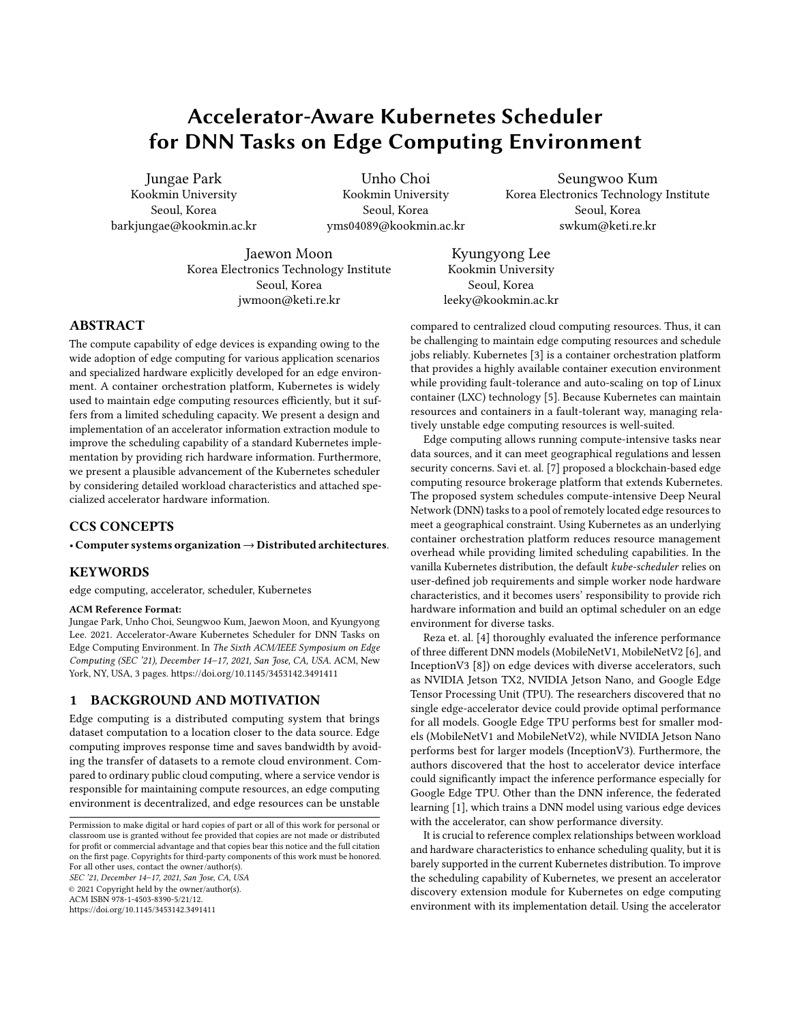# Accelerator-Aware Kubernetes Scheduler for DNN Tasks on Edge Computing Environment

Jungae Park Kookmin University Seoul, Korea barkjungae@kookmin.ac.kr

Unho Choi Kookmin University Seoul, Korea yms04089@kookmin.ac.kr

Seungwoo Kum Korea Electronics Technology Institute Seoul, Korea swkum@keti.re.kr

Jaewon Moon Korea Electronics Technology Institute Seoul, Korea jwmoon@keti.re.kr

Kyungyong Lee Kookmin University Seoul, Korea leeky@kookmin.ac.kr

## ABSTRACT

The compute capability of edge devices is expanding owing to the wide adoption of edge computing for various application scenarios and specialized hardware explicitly developed for an edge environment. A container orchestration platform, Kubernetes is widely used to maintain edge computing resources efficiently, but it suffers from a limited scheduling capacity. We present a design and implementation of an accelerator information extraction module to improve the scheduling capability of a standard Kubernetes implementation by providing rich hardware information. Furthermore, we present a plausible advancement of the Kubernetes scheduler by considering detailed workload characteristics and attached specialized accelerator hardware information.

# CCS CONCEPTS

## • Computer systems organization→Distributed architectures.

#### KEYWORDS

edge computing, accelerator, scheduler, Kubernetes

#### ACM Reference Format:

Jungae Park, Unho Choi, Seungwoo Kum, Jaewon Moon, and Kyungyong Lee. 2021. Accelerator-Aware Kubernetes Scheduler for DNN Tasks on Edge Computing Environment. In The Sixth ACM/IEEE Symposium on Edge Computing (SEC '21), December 14–17, 2021, San Jose, CA, USA. ACM, New York, NY, USA, [3](#page-2-0) pages.<https://doi.org/10.1145/3453142.3491411>

### 1 BACKGROUND AND MOTIVATION

Edge computing is a distributed computing system that brings dataset computation to a location closer to the data source. Edge computing improves response time and saves bandwidth by avoiding the transfer of datasets to a remote cloud environment. Compared to ordinary public cloud computing, where a service vendor is responsible for maintaining compute resources, an edge computing environment is decentralized, and edge resources can be unstable

SEC '21, December 14–17, 2021, San Jose, CA, USA

© 2021 Copyright held by the owner/author(s).

ACM ISBN 978-1-4503-8390-5/21/12.

<https://doi.org/10.1145/3453142.3491411>

be challenging to maintain edge computing resources and schedule jobs reliably. Kubernetes [\[3\]](#page-2-1) is a container orchestration platform that provides a highly available container execution environment while providing fault-tolerance and auto-scaling on top of Linux container (LXC) technology [\[5\]](#page-2-2). Because Kubernetes can maintain resources and containers in a fault-tolerant way, managing relatively unstable edge computing resources is well-suited.

compared to centralized cloud computing resources. Thus, it can

Edge computing allows running compute-intensive tasks near data sources, and it can meet geographical regulations and lessen security concerns. Savi et. al. [\[7\]](#page-2-3) proposed a blockchain-based edge computing resource brokerage platform that extends Kubernetes. The proposed system schedules compute-intensive Deep Neural Network (DNN) tasks to a pool of remotely located edge resources to meet a geographical constraint. Using Kubernetes as an underlying container orchestration platform reduces resource management overhead while providing limited scheduling capabilities. In the vanilla Kubernetes distribution, the default kube-scheduler relies on user-defined job requirements and simple worker node hardware characteristics, and it becomes users' responsibility to provide rich hardware information and build an optimal scheduler on an edge environment for diverse tasks.

Reza et. al. [\[4\]](#page-2-4) thoroughly evaluated the inference performance of three different DNN models (MobileNetV1, MobileNetV2 [\[6\]](#page-2-5), and InceptionV3 [\[8\]](#page-2-6)) on edge devices with diverse accelerators, such as NVIDIA Jetson TX2, NVIDIA Jetson Nano, and Google Edge Tensor Processing Unit (TPU). The researchers discovered that no single edge-accelerator device could provide optimal performance for all models. Google Edge TPU performs best for smaller models (MobileNetV1 and MobileNetV2), while NVIDIA Jetson Nano performs best for larger models (InceptionV3). Furthermore, the authors discovered that the host to accelerator device interface could significantly impact the inference performance especially for Google Edge TPU. Other than the DNN inference, the federated learning [\[1\]](#page-2-7), which trains a DNN model using various edge devices with the accelerator, can show performance diversity.

It is crucial to reference complex relationships between workload and hardware characteristics to enhance scheduling quality, but it is barely supported in the current Kubernetes distribution. To improve the scheduling capability of Kubernetes, we present an accelerator discovery extension module for Kubernetes on edge computing environment with its implementation detail. Using the accelerator

Permission to make digital or hard copies of part or all of this work for personal or classroom use is granted without fee provided that copies are not made or distributed for profit or commercial advantage and that copies bear this notice and the full citation on the first page. Copyrights for third-party components of this work must be honored. For all other uses, contact the owner/author(s).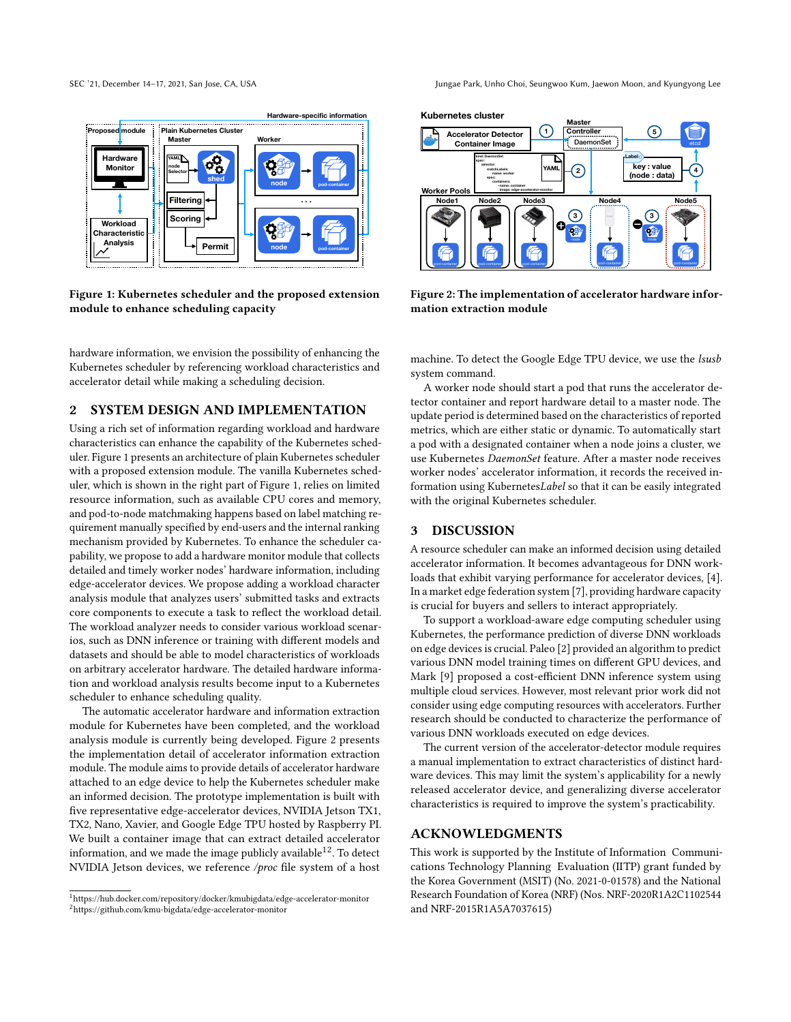<span id="page-1-0"></span>

Figure 1: Kubernetes scheduler and the proposed extension module to enhance scheduling capacity

hardware information, we envision the possibility of enhancing the Kubernetes scheduler by referencing workload characteristics and accelerator detail while making a scheduling decision.

# 2 SYSTEM DESIGN AND IMPLEMENTATION

Using a rich set of information regarding workload and hardware characteristics can enhance the capability of the Kubernetes scheduler. Figure [1](#page-1-0) presents an architecture of plain Kubernetes scheduler with a proposed extension module. The vanilla Kubernetes scheduler, which is shown in the right part of Figure [1,](#page-1-0) relies on limited resource information, such as available CPU cores and memory, and pod-to-node matchmaking happens based on label matching requirement manually specified by end-users and the internal ranking mechanism provided by Kubernetes. To enhance the scheduler capability, we propose to add a hardware monitor module that collects detailed and timely worker nodes' hardware information, including edge-accelerator devices. We propose adding a workload character analysis module that analyzes users' submitted tasks and extracts core components to execute a task to reflect the workload detail. The workload analyzer needs to consider various workload scenarios, such as DNN inference or training with different models and datasets and should be able to model characteristics of workloads on arbitrary accelerator hardware. The detailed hardware information and workload analysis results become input to a Kubernetes scheduler to enhance scheduling quality.

The automatic accelerator hardware and information extraction module for Kubernetes have been completed, and the workload analysis module is currently being developed. Figure [2](#page-1-1) presents the implementation detail of accelerator information extraction module. The module aims to provide details of accelerator hardware attached to an edge device to help the Kubernetes scheduler make an informed decision. The prototype implementation is built with five representative edge-accelerator devices, NVIDIA Jetson TX1, TX2, Nano, Xavier, and Google Edge TPU hosted by Raspberry PI. We built a container image that can extract detailed accelerator information, and we made the image publicly available<sup>[1](#page-1-2)[2](#page-1-3)</sup>. To detect NVIDIA Jetson devices, we reference /proc file system of a host

SEC '21, December 14–17, 2021, San Jose, CA, USA Jungae Park, Unho Choi, Seungwoo Kum, Jaewon Moon, and Kyungyong Lee

<span id="page-1-1"></span>

Figure 2: The implementation of accelerator hardware information extraction module

machine. To detect the Google Edge TPU device, we use the lsusb system command.

A worker node should start a pod that runs the accelerator detector container and report hardware detail to a master node. The update period is determined based on the characteristics of reported metrics, which are either static or dynamic. To automatically start a pod with a designated container when a node joins a cluster, we use Kubernetes DaemonSet feature. After a master node receives worker nodes' accelerator information, it records the received information using KubernetesLabel so that it can be easily integrated with the original Kubernetes scheduler.

## 3 DISCUSSION

A resource scheduler can make an informed decision using detailed accelerator information. It becomes advantageous for DNN workloads that exhibit varying performance for accelerator devices, [\[4\]](#page-2-4). In a market edge federation system [\[7\]](#page-2-3), providing hardware capacity is crucial for buyers and sellers to interact appropriately.

To support a workload-aware edge computing scheduler using Kubernetes, the performance prediction of diverse DNN workloads on edge devices is crucial. Paleo [\[2\]](#page-2-8) provided an algorithm to predict various DNN model training times on different GPU devices, and Mark [\[9\]](#page-2-9) proposed a cost-efficient DNN inference system using multiple cloud services. However, most relevant prior work did not consider using edge computing resources with accelerators. Further research should be conducted to characterize the performance of various DNN workloads executed on edge devices.

The current version of the accelerator-detector module requires a manual implementation to extract characteristics of distinct hardware devices. This may limit the system's applicability for a newly released accelerator device, and generalizing diverse accelerator characteristics is required to improve the system's practicability.

## ACKNOWLEDGMENTS

This work is supported by the Institute of Information Communications Technology Planning Evaluation (IITP) grant funded by the Korea Government (MSIT) (No. 2021-0-01578) and the National Research Foundation of Korea (NRF) (Nos. NRF-2020R1A2C1102544 and NRF-2015R1A5A7037615)

<span id="page-1-3"></span><span id="page-1-2"></span><sup>1</sup>https://hub.docker.com/repository/docker/kmubigdata/edge-accelerator-monitor <sup>2</sup>https://github.com/kmu-bigdata/edge-accelerator-monitor